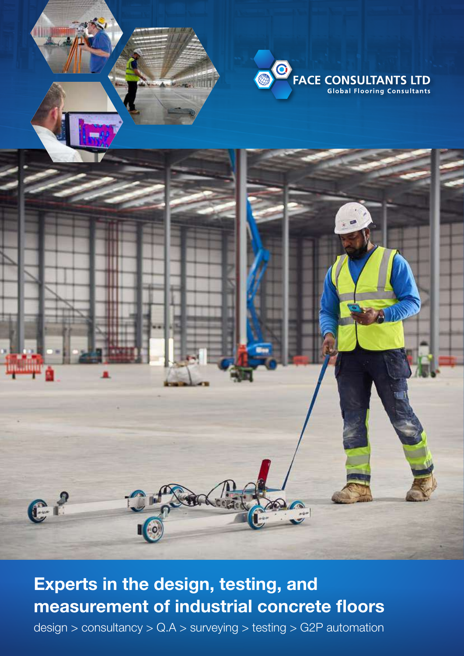



## **Experts in the design, testing, and measurement of industrial concrete floors**

design > consultancy > Q.A > surveying > testing > G2P automation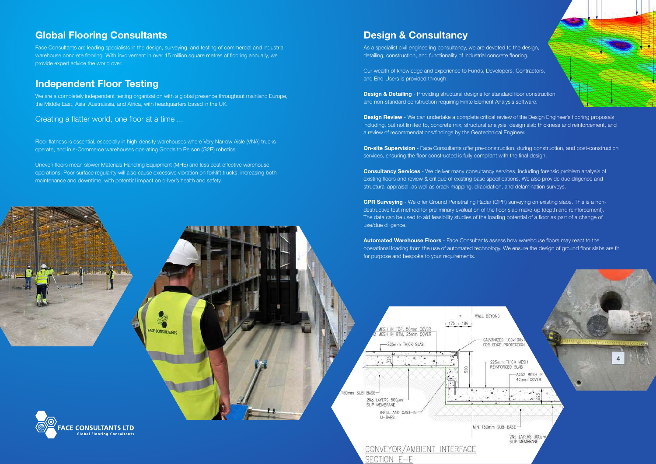## **Global Flooring Consultants**

We are a completely independent testing organisation with a global presence throughout mainland Europe, the Middle East, Asia, Australasia, and Africa, with headquarters based in the UK.

Face Consultants are leading specialists in the design, surveying, and testing of commercial and industrial warehouse concrete flooring. With involvement in over 15 million square metres of flooring annually, we provide expert advice the world over.

## **Independent Floor Testing**

Creating a flatter world, one floor at a time ...

As a specialist civil engineering consultancy, we are devoted to the design, detailing, construction, and functionality of industrial concrete flooring.

Floor flatness is essential, especially in high-density warehouses where Very Narrow Aisle (VNA) trucks operate, and in e-Commerce warehouses operating Goods to Person (G2P) robotics.

**Design & Detailing** - Providing structural designs for standard floor construction, and non-standard construction requiring Finite Element Analysis software.

**Design Review** - We can undertake a complete critical review of the Design Engineer's flooring proposals including, but not limited to, concrete mix, structural analysis, design slab thickness and reinforcement, and a review of recommendations/findings by the Geotechnical Engineer.

Uneven floors mean slower Materials Handling Equipment (MHE) and less cost effective warehouse operations. Poor surface regularity will also cause excessive vibration on forklift trucks, increasing both maintenance and downtime, with potential impact on driver's health and safety.

**FACE CONSULTANTS** 



## **Design & Consultancy**

Our wealth of knowledge and experience to Funds, Developers, Contractors, and End-Users is provided through:

**On-site Supervision** - Face Consultants offer pre-construction, during construction, and post-construction services, ensuring the floor constructed is fully compliant with the final design.

**Consultancy Services** - We deliver many consultancy services, including forensic problem analysis of existing floors and review & critique of existing base specifications. We also provide due diligence and structural appraisal, as well as crack mapping, dilapidation, and delamination surveys.

**GPR Surveying** - We offer Ground Penetrating Radar (GPR) surveying on existing slabs. This is a nondestructive test method for preliminary evaluation of the floor slab make-up (depth and reinforcement). The data can be used to aid feasibility studies of the loading potential of a floor as part of a change of use/due diligence.

**Automated Warehouse Floors** - Face Consultants assess how warehouse floors may react to the operational loading from the use of automated technology. We ensure the design of ground floor slabs are fit for purpose and bespoke to your requirements.

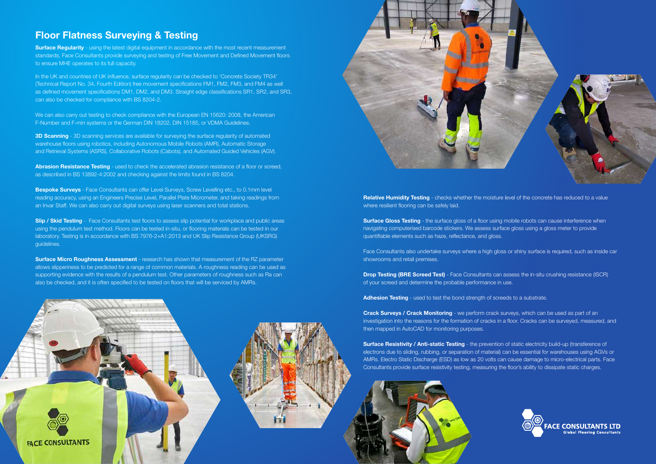## **Floor Flatness Surveying & Testing**

**Surface Requiarity** - using the latest digital equipment in accordance with the most recent measurement standards, Face Consultants provide surveying and testing of Free Movement and Defined Movement floors to ensure MHE operates to its full capacity.

In the UK and countries of UK influence, surface regularity can be checked to 'Concrete Society TR34' (Technical Report No. 34, Fourth Edition) free movement specifications FM1, FM2, FM3, and FM4 as well as defined movement specifications DM1, DM2, and DM3. Straight edge classifications SR1, SR2, and SR3, can also be checked for compliance with BS 8204-2.

**3D Scanning** - 3D scanning services are available for surveying the surface regularity of automated warehouse floors using robotics, including Autonomous Mobile Robots (AMR), Automatic Storage and Retrieval Systems (ASRS), Collaborative Robots (Cabots), and Automated Guided Vehicles (AGV).

**Abrasion Resistance Testing** - used to check the accelerated abrasion resistance of a floor or screed, as described in BS 13892-4:2002 and checking against the limits found in BS 8204.

We can also carry out testing to check compliance with the European EN 15620: 2008, the American F-Number and F-min systems or the German DIN 18202, DIN 15185, or VDMA Guidelines.

**Bespoke Surveys** - Face Consultants can offer Level Surveys, Screw Levelling etc., to 0.1mm level reading accuracy, using an Engineers Precise Level, Parallel Plate Micrometer, and taking readings from an Invar Staff. We can also carry out digital surveys using laser scanners and total stations.

**Slip / Skid Testing** - Face Consultants test floors to assess slip potential for workplace and public areas using the pendulum test method. Floors can be tested in-situ, or flooring materials can be tested in our laboratory. Testing is in accordance with BS 7976-2+A1:2013 and UK Slip Resistance Group (UKSRG) guidelines.

**Surface Micro Roughness Assessment** - research has shown that measurement of the RZ parameter allows slipperiness to be predicted for a range of common materials. A roughness reading can be used as supporting evidence with the results of a pendulum test. Other parameters of roughness such as Ra can also be checked, and it is often specified to be tested on floors that will be serviced by AMRs.





**Surface Gloss Testing** - the surface gloss of a floor using mobile robots can cause interference when navigating computerised barcode stickers. We assess surface gloss using a gloss meter to provide quantifiable elements such as haze, reflectance, and gloss.

**Drop Testing (BRE Screed Test)** - Face Consultants can assess the in-situ crushing resistance (ISCR) of your screed and determine the probable performance in use.

**Surface Resistivity / Anti-static Testing** - the prevention of static electricity build-up (transference of electrons due to sliding, rubbing, or separation of material) can be essential for warehouses using AGVs or AMRs. Electro Static Discharge (ESD) as low as 20 volts can cause damage to micro-electrical parts. Face Consultants provide surface resistivity testing, measuring the floor's ability to dissipate static charges.





**Relative Humidity Testing** - checks whether the moisture level of the concrete has reduced to a value where resilient flooring can be safely laid.

Face Consultants also undertake surveys where a high gloss or shiny surface is required, such as inside car showrooms and retail premises.

**Adhesion Testing** - used to test the bond strength of screeds to a substrate.

**Crack Surveys / Crack Monitoring** - we perform crack surveys, which can be used as part of an investigation into the reasons for the formation of cracks in a floor. Cracks can be surveyed, measured, and then mapped in AutoCAD for monitoring purposes.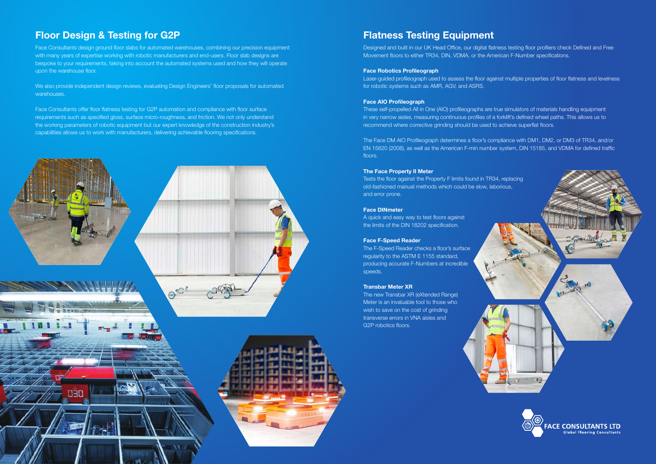# **Floor Design & Testing for G2P**

This is the process to bring areas of the floor that do not comply with the with many years of expertise working with robotic manufacturers and end-users. Floor slab designs are specification with the floor allows the floor allows the floor allows the operation of the operation of the operation of the operation of the operation of the operation of the operation of the operation of the operation of Face Consultants design ground floor slabs for automated warehouses, combining our precision equipment bespoke to your requirements, taking into account the automated systems used and how they will operate

race consultants oner noor hathess testing for GZF automation and compilance with floor sunace<br>requirements such as specified gloss, surface micro-roughness, and friction. We not only understand the working parameters of robotic equipment but our expert knowledge of the construction industry's capabilities allows us to work with manufacturers, delivering achievable flooring specifications.<br>. Face Consultants offer floor flatness testing for G2P automation and compliance with floor surface



Designed and built in our UK Head Office, our digital flatness testing floor profilers check Defined and Free Movement floors to either TR34, DIN, VDMA, or the American F-Number specifications.

We also provide independent design reviews, evaluating Design Engineers' floor proposals for automated warehouses.

## **Flatness Testing Equipment**

#### **Face Robotics Profileograph**

Laser-guided profileograph used to assess the floor against multiple properties of floor flatness and levelness for robotic systems such as AMR, AGV, and ASRS.

#### **Face AIO Profileograph**

These self-propelled All in One (AIO) profileographs are true simulators of materials handling equipment in very narrow aisles, measuring continuous profiles of a forklift's defined wheel paths. This allows us to recommend where corrective grinding should be used to achieve superflat floors.

The Face DM AIO Profileograph determines a floor's compliance with DM1, DM2, or DM3 of TR34, and/or EN 15620 (2008), as well as the American F-min number system, DIN 15185, and VDMA for defined traffic floors.

#### **The Face Property II Meter**

Tests the floor against the Property F limits found in TR34, replacing old-fashioned manual methods which could be slow, laborious, and error prone.

#### **Face DINmeter**

A quick and easy way to test floors against the limits of the DIN 18202 specification.

#### **Face F-Speed Reader**

The F-Speed Reader checks a floor's surface regularity to the ASTM E 1155 standard, producing accurate F-Numbers at incredible speeds.

#### **Transbar Meter XR**

The new Transbar XR (eXtended Range) Meter is an invaluable tool to those who wish to save on the cost of grinding transverse errors in VNA aisles and G2P robotics floors.